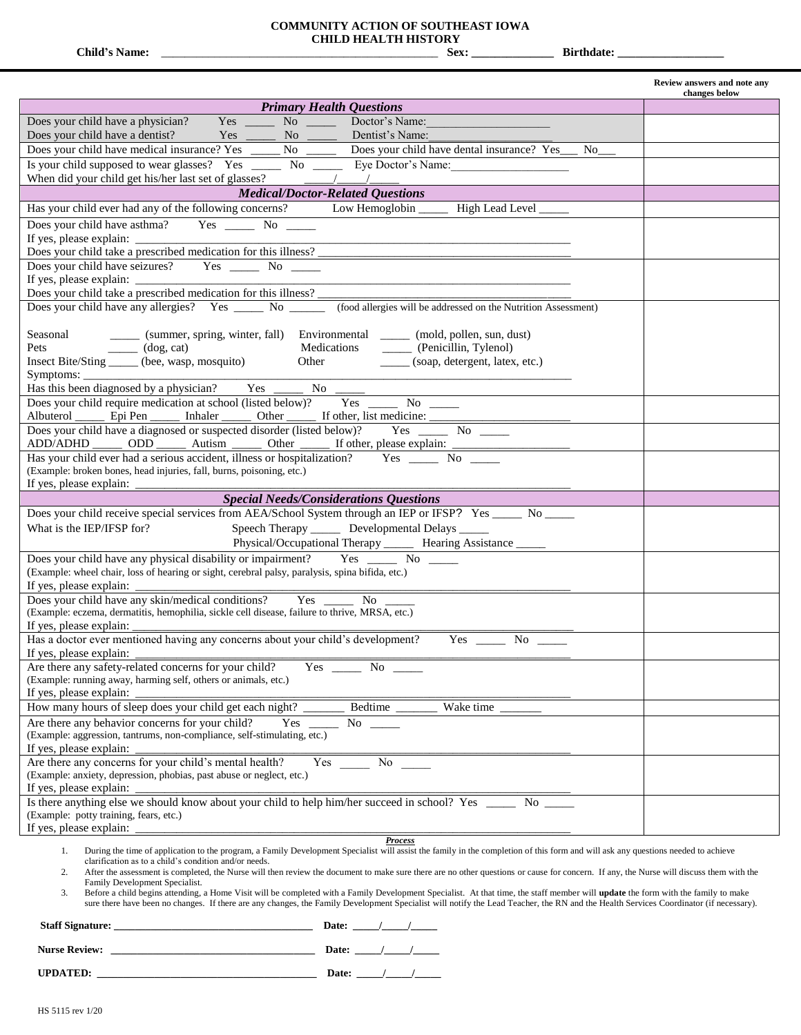## **COMMUNITY ACTION OF SOUTHEAST IOWA CHILD HEALTH HISTORY**

Child's Name: **Letter Account 2 and 2 and 2 and 2 and 2 and 3 and 3 and 3 and 3 and 3 and 3 and 3 and 3 and 3 and 3 and 3 and 3 and 3 and 3 and 3 and 3 and 3 and 3 and 3 and 3 and 3 and 3 and 3 and 3 and 3 and 3 and 3 and** 

**Review answers and note any changes below** *Primary Health Questions* Does your child have a physician? Yes \_\_\_\_\_ No \_\_\_\_\_ Doctor's Name:\_\_\_\_\_\_\_\_\_\_\_\_\_\_\_\_\_\_\_\_\_ Does your child have a dentist? Yes \_\_\_\_\_ No \_\_\_\_\_ Dentist's Name:\_\_\_\_\_\_\_\_\_\_\_\_\_\_\_\_\_\_\_\_\_ Does your child have medical insurance? Yes \_\_\_\_\_\_ No \_\_\_\_\_\_\_ Does your child have dental insurance? Yes \_\_\_ No Is your child supposed to wear glasses? Yes \_\_\_\_\_ No \_\_\_\_\_ Eye Doctor's Name:\_\_\_\_\_\_\_\_\_\_\_\_\_\_\_\_\_\_\_\_ When did your child get his/her last set of glasses? *Medical/Doctor-Related Questions* Has your child ever had any of the following concerns? Low Hemoglobin \_\_\_\_\_\_\_ High Lead Level \_ Does your child have asthma? Yes No If yes, please explain:  $\Box$ Does your child take a prescribed medication for this illness? Does your child have seizures? Yes \_\_\_\_\_\_ No \_\_\_\_\_ If yes, please explain: Does your child take a prescribed medication for this illness? Does your child have any allergies? Yes \_\_\_\_\_\_ No \_\_\_\_\_\_\_ (food allergies will be addressed on the Nutrition Assessment) Seasonal \_\_\_\_\_\_ (summer, spring, winter, fall) Environmental \_\_\_\_\_\_ (mold, pollen, sun, dust) Pets \_\_\_\_\_ (dog, cat) Medications \_\_\_\_ (Penicillin, Tylenol) Insect Bite/Sting \_\_\_\_\_\_ (bee, wasp, mosquito) Other \_\_\_\_\_\_\_\_ (soap, detergent, latex, etc.) Symptoms: Has this been diagnosed by a physician? Yes \_\_\_\_\_\_\_ No Does your child require medication at school (listed below)? Yes \_\_\_\_\_ No \_\_\_\_\_ Albuterol \_\_\_\_\_\_\_ Epi Pen \_\_\_\_\_\_\_ Inhaler \_\_\_\_\_\_\_ Other \_\_\_\_\_\_\_\_ If other, list medicine: Does your child have a diagnosed or suspected disorder (listed below)? Yes \_\_\_\_\_\_ No \_\_\_\_\_\_ ADD/ADHD \_\_\_\_\_\_\_\_ ODD \_\_\_\_\_\_\_\_\_ Autism \_\_\_\_\_\_\_\_\_ Other \_\_\_\_\_\_\_\_\_ If other, please explain: Has your child ever had a serious accident, illness or hospitalization? Yes \_\_\_\_\_\_\_ No \_\_\_\_\_ (Example: broken bones, head injuries, fall, burns, poisoning, etc.) If yes, please explain: *Special Needs/Considerations Questions* Does your child receive special services from AEA/School System through an IEP or IFSP? Yes \_\_\_\_\_\_ No What is the IEP/IFSP for? Speech Therapy \_\_\_\_\_\_\_\_ Developmental Delays \_\_\_\_\_\_ Physical/Occupational Therapy \_\_\_\_\_\_\_\_ Hearing Assistance Does your child have any physical disability or impairment? Yes No (Example: wheel chair, loss of hearing or sight, cerebral palsy, paralysis, spina bifida, etc.) If yes, please explain: Does your child have any skin/medical conditions? Yes No (Example: eczema, dermatitis, hemophilia, sickle cell disease, failure to thrive, MRSA, etc.) If yes, please explain: Has a doctor ever mentioned having any concerns about your child's development? Yes \_\_\_\_\_\_ No If yes, please explain: Are there any safety-related concerns for your child? Yes \_\_\_\_\_\_\_ No \_ (Example: running away, harming self, others or animals, etc.) If yes, please explain: How many hours of sleep does your child get each night? \_\_\_\_\_\_\_\_\_\_\_ Bedtime \_\_\_\_\_\_\_\_\_\_\_ Wake time Are there any behavior concerns for your child? Yes \_\_\_\_\_\_ No \_\_\_\_\_\_ (Example: aggression, tantrums, non-compliance, self-stimulating, etc.) If yes, please explain: Are there any concerns for your child's mental health? Yes No (Example: anxiety, depression, phobias, past abuse or neglect, etc.) If yes, please explain: Is there anything else we should know about your child to help him/her succeed in school? Yes \_\_\_\_\_\_ No \_ (Example: potty training, fears, etc.) If yes, please explain: *Process* 1. During the time of application to the program, a Family Development Specialist will assist the family in the completion of this form and will ask any questions needed to achieve clarification as to a child's condition and/or needs. 2. After the assessment is completed, the Nurse will then review the document to make sure there are no other questions or cause for concern. If any, the Nurse will discuss them with the Family Development Specialist. 3. Before a child begins attending, a Home Visit will be completed with a Family Development Specialist. At that time, the staff member will **update** the form with the family to make sure there have been no changes. If there are any changes, the Family Development Specialist will notify the Lead Teacher, the RN and the Health Services Coordinator (if necessary).

**Staff Signature: \_\_\_\_\_\_\_\_\_\_\_\_\_\_\_\_\_\_\_\_\_\_\_\_\_\_\_\_\_\_\_\_\_\_\_\_\_\_ Date: \_\_\_\_\_/\_\_\_\_\_/\_\_\_\_\_ Nurse Review:** 

HS 5115 rev 1/20

**UPDATED: \_\_\_\_\_\_\_\_\_\_\_\_\_\_\_\_\_\_\_\_\_\_\_\_\_\_\_\_\_\_\_\_\_\_\_\_\_\_\_\_\_\_ Date: \_\_\_\_\_/\_\_\_\_\_/\_\_\_\_\_**

| d's Name: |  |
|-----------|--|
|-----------|--|

| Date: |  |  |
|-------|--|--|
| Date: |  |  |